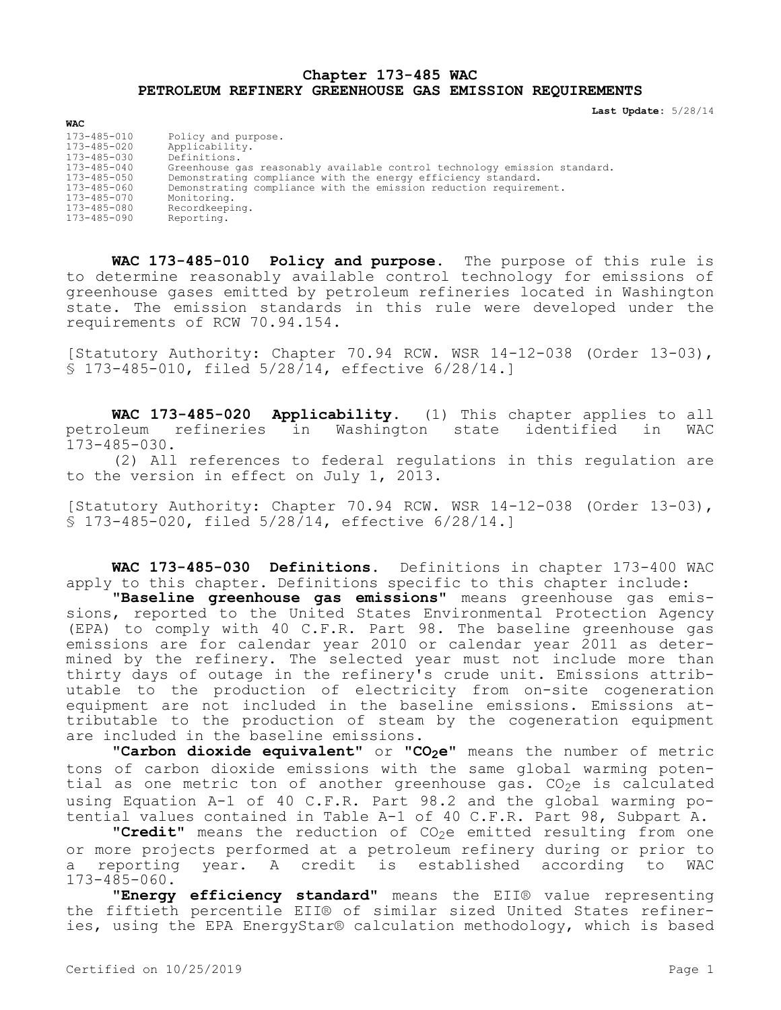## **Chapter 173-485 WAC PETROLEUM REFINERY GREENHOUSE GAS EMISSION REQUIREMENTS**

**Last Update:** 5/28/14

| <b>WAC</b>        |                                                                           |
|-------------------|---------------------------------------------------------------------------|
| $173 - 485 - 010$ | Policy and purpose.                                                       |
| $173 - 485 - 020$ | Applicability.                                                            |
| $173 - 485 - 030$ | Definitions.                                                              |
| $173 - 485 - 040$ | Greenhouse gas reasonably available control technology emission standard. |
| $173 - 485 - 050$ | Demonstrating compliance with the energy efficiency standard.             |
| $173 - 485 - 060$ | Demonstrating compliance with the emission reduction requirement.         |
| $173 - 485 - 070$ | Monitoring.                                                               |
| 173-485-080       | Recordkeeping.                                                            |
| 173-485-090       | Reporting.                                                                |

**WAC 173-485-010 Policy and purpose.** The purpose of this rule is to determine reasonably available control technology for emissions of greenhouse gases emitted by petroleum refineries located in Washington state. The emission standards in this rule were developed under the requirements of RCW 70.94.154.

[Statutory Authority: Chapter 70.94 RCW. WSR 14-12-038 (Order 13-03), § 173-485-010, filed 5/28/14, effective 6/28/14.]

**WAC 173-485-020 Applicability.** (1) This chapter applies to all petroleum refineries in Washington state identified in WAC 173-485-030.

(2) All references to federal regulations in this regulation are to the version in effect on July 1, 2013.

[Statutory Authority: Chapter 70.94 RCW. WSR 14-12-038 (Order 13-03), § 173-485-020, filed 5/28/14, effective 6/28/14.]

**WAC 173-485-030 Definitions.** Definitions in chapter 173-400 WAC apply to this chapter. Definitions specific to this chapter include:

**"Baseline greenhouse gas emissions"** means greenhouse gas emissions, reported to the United States Environmental Protection Agency (EPA) to comply with 40 C.F.R. Part 98. The baseline greenhouse gas emissions are for calendar year 2010 or calendar year 2011 as determined by the refinery. The selected year must not include more than thirty days of outage in the refinery's crude unit. Emissions attributable to the production of electricity from on-site cogeneration equipment are not included in the baseline emissions. Emissions attributable to the production of steam by the cogeneration equipment are included in the baseline emissions.

**"Carbon dioxide equivalent"** or **"CO2e"** means the number of metric tons of carbon dioxide emissions with the same global warming potential as one metric ton of another greenhouse gas.  $CO<sub>2</sub>e$  is calculated using Equation A-1 of 40 C.F.R. Part 98.2 and the global warming potential values contained in Table A-1 of 40 C.F.R. Part 98, Subpart A.

"Credit" means the reduction of CO<sub>2</sub>e emitted resulting from one or more projects performed at a petroleum refinery during or prior to a reporting year. A credit is established according to WAC 173-485-060.

"**Energy efficiency standard**" means the EII® value representing the fiftieth percentile EII® of similar sized United States refineries, using the EPA EnergyStar® calculation methodology, which is based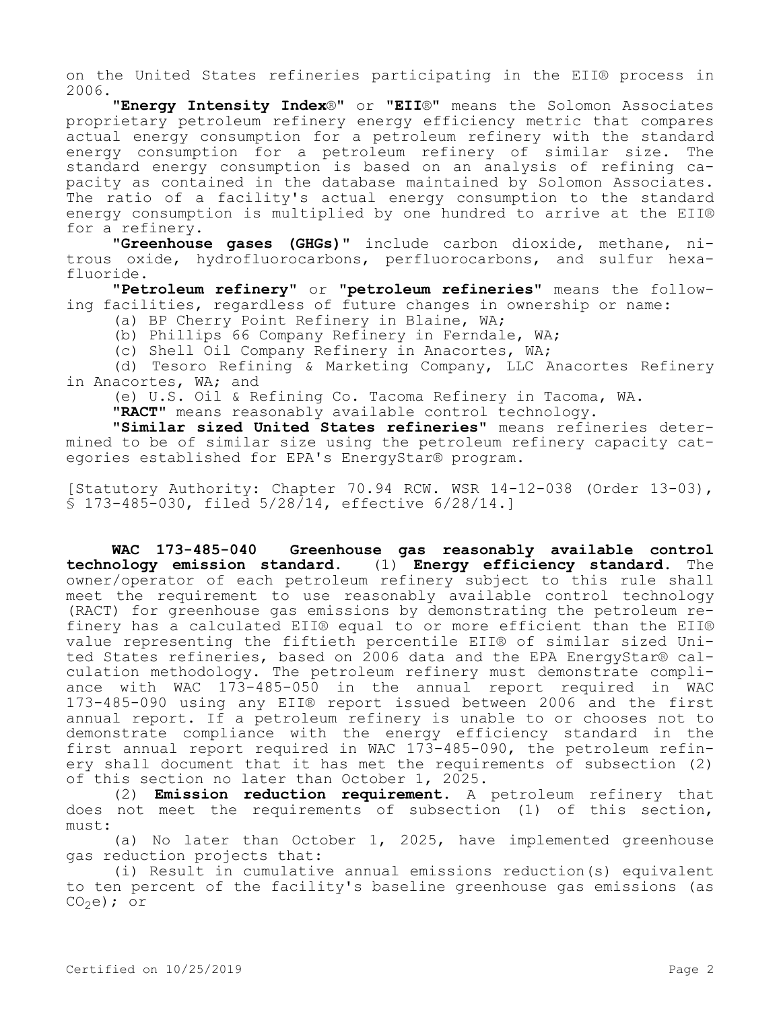on the United States refineries participating in the EII® process in 2006.

**"Energy Intensity Index**®**"** or **"EII**®**"** means the Solomon Associates proprietary petroleum refinery energy efficiency metric that compares actual energy consumption for a petroleum refinery with the standard energy consumption for a petroleum refinery of similar size. The standard energy consumption is based on an analysis of refining capacity as contained in the database maintained by Solomon Associates. The ratio of a facility's actual energy consumption to the standard energy consumption is multiplied by one hundred to arrive at the EII® for a refinery.

**"Greenhouse gases (GHGs)"** include carbon dioxide, methane, nitrous oxide, hydrofluorocarbons, perfluorocarbons, and sulfur hexafluoride.

**"Petroleum refinery"** or **"petroleum refineries"** means the following facilities, regardless of future changes in ownership or name:

(a) BP Cherry Point Refinery in Blaine, WA;

(b) Phillips 66 Company Refinery in Ferndale, WA;

(c) Shell Oil Company Refinery in Anacortes, WA;

(d) Tesoro Refining & Marketing Company, LLC Anacortes Refinery in Anacortes, WA; and

(e) U.S. Oil & Refining Co. Tacoma Refinery in Tacoma, WA.

**"RACT"** means reasonably available control technology.

**"Similar sized United States refineries"** means refineries determined to be of similar size using the petroleum refinery capacity categories established for EPA's EnergyStar® program.

[Statutory Authority: Chapter 70.94 RCW. WSR 14-12-038 (Order 13-03), § 173-485-030, filed 5/28/14, effective 6/28/14.]

**WAC 173-485-040 Greenhouse gas reasonably available control technology emission standard.** (1) **Energy efficiency standard.** The owner/operator of each petroleum refinery subject to this rule shall meet the requirement to use reasonably available control technology (RACT) for greenhouse gas emissions by demonstrating the petroleum refinery has a calculated EII® equal to or more efficient than the EII® value representing the fiftieth percentile EII® of similar sized United States refineries, based on 2006 data and the EPA EnergyStar® calculation methodology. The petroleum refinery must demonstrate compliance with WAC 173-485-050 in the annual report required in WAC 173-485-090 using any EII® report issued between 2006 and the first annual report. If a petroleum refinery is unable to or chooses not to demonstrate compliance with the energy efficiency standard in the first annual report required in WAC 173-485-090, the petroleum refinery shall document that it has met the requirements of subsection (2) of this section no later than October 1, 2025.

(2) **Emission reduction requirement.** A petroleum refinery that does not meet the requirements of subsection (1) of this section, must:

(a) No later than October 1, 2025, have implemented greenhouse gas reduction projects that:

(i) Result in cumulative annual emissions reduction(s) equivalent to ten percent of the facility's baseline greenhouse gas emissions (as  $CO<sub>2</sub>e$ ); or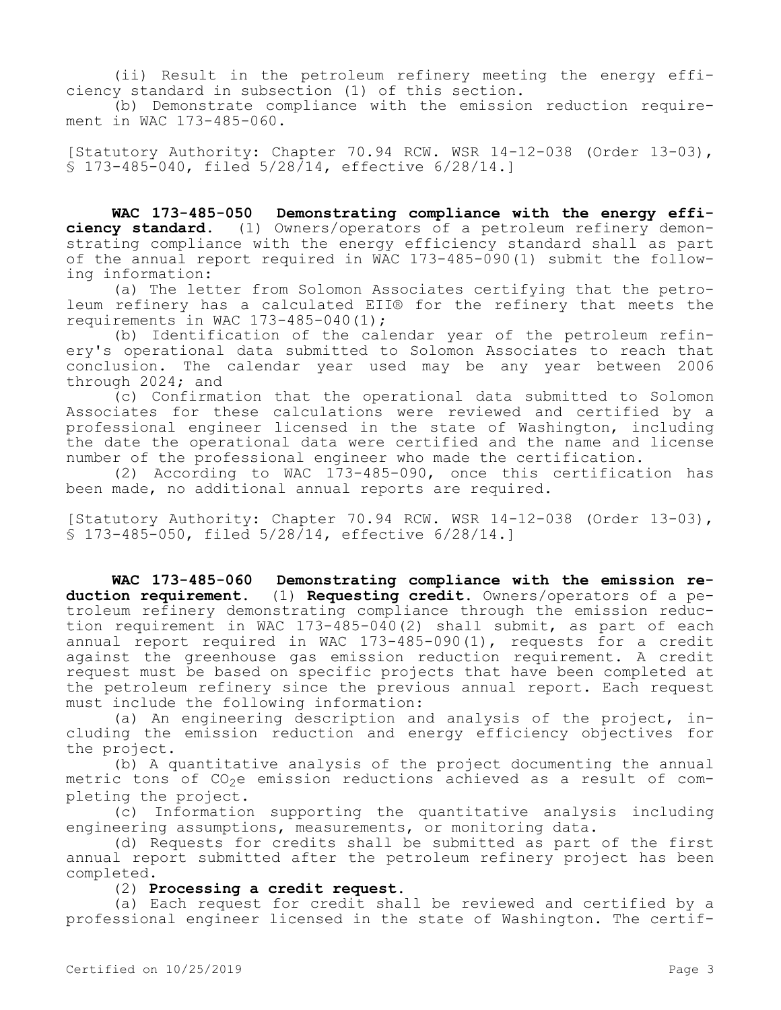(ii) Result in the petroleum refinery meeting the energy efficiency standard in subsection (1) of this section.

(b) Demonstrate compliance with the emission reduction requirement in WAC 173-485-060.

[Statutory Authority: Chapter 70.94 RCW. WSR 14-12-038 (Order 13-03), § 173-485-040, filed 5/28/14, effective 6/28/14.]

**WAC 173-485-050 Demonstrating compliance with the energy efficiency standard.** (1) Owners/operators of a petroleum refinery demonstrating compliance with the energy efficiency standard shall as part of the annual report required in WAC 173-485-090(1) submit the following information:

(a) The letter from Solomon Associates certifying that the petroleum refinery has a calculated EII® for the refinery that meets the requirements in WAC 173-485-040(1);

(b) Identification of the calendar year of the petroleum refinery's operational data submitted to Solomon Associates to reach that conclusion. The calendar year used may be any year between 2006 through 2024; and

(c) Confirmation that the operational data submitted to Solomon Associates for these calculations were reviewed and certified by a professional engineer licensed in the state of Washington, including the date the operational data were certified and the name and license number of the professional engineer who made the certification.

(2) According to WAC 173-485-090, once this certification has been made, no additional annual reports are required.

[Statutory Authority: Chapter 70.94 RCW. WSR 14-12-038 (Order 13-03), § 173-485-050, filed 5/28/14, effective 6/28/14.]

**WAC 173-485-060 Demonstrating compliance with the emission reduction requirement.** (1) **Requesting credit.** Owners/operators of a petroleum refinery demonstrating compliance through the emission reduction requirement in WAC 173-485-040(2) shall submit, as part of each annual report required in WAC 173-485-090(1), requests for a credit against the greenhouse gas emission reduction requirement. A credit request must be based on specific projects that have been completed at the petroleum refinery since the previous annual report. Each request must include the following information:

(a) An engineering description and analysis of the project, including the emission reduction and energy efficiency objectives for the project.

(b) A quantitative analysis of the project documenting the annual metric tons of CO<sub>2</sub>e emission reductions achieved as a result of completing the project.

(c) Information supporting the quantitative analysis including engineering assumptions, measurements, or monitoring data.

(d) Requests for credits shall be submitted as part of the first annual report submitted after the petroleum refinery project has been completed.

(2) **Processing a credit request.**

(a) Each request for credit shall be reviewed and certified by a professional engineer licensed in the state of Washington. The certif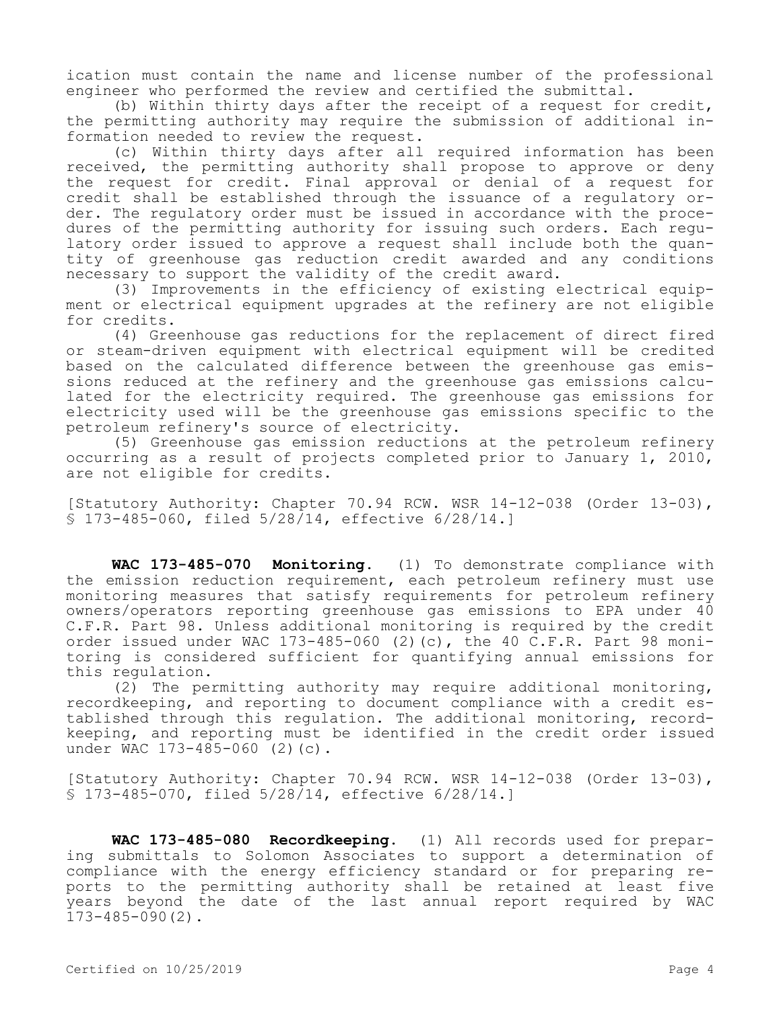ication must contain the name and license number of the professional engineer who performed the review and certified the submittal.

(b) Within thirty days after the receipt of a request for credit, the permitting authority may require the submission of additional information needed to review the request.

(c) Within thirty days after all required information has been received, the permitting authority shall propose to approve or deny the request for credit. Final approval or denial of a request for credit shall be established through the issuance of a regulatory order. The regulatory order must be issued in accordance with the procedures of the permitting authority for issuing such orders. Each regulatory order issued to approve a request shall include both the quantity of greenhouse gas reduction credit awarded and any conditions necessary to support the validity of the credit award.

(3) Improvements in the efficiency of existing electrical equipment or electrical equipment upgrades at the refinery are not eligible for credits.

(4) Greenhouse gas reductions for the replacement of direct fired or steam-driven equipment with electrical equipment will be credited based on the calculated difference between the greenhouse gas emissions reduced at the refinery and the greenhouse gas emissions calculated for the electricity required. The greenhouse gas emissions for electricity used will be the greenhouse gas emissions specific to the petroleum refinery's source of electricity.

(5) Greenhouse gas emission reductions at the petroleum refinery occurring as a result of projects completed prior to January 1, 2010, are not eligible for credits.

[Statutory Authority: Chapter 70.94 RCW. WSR 14-12-038 (Order 13-03), § 173-485-060, filed 5/28/14, effective 6/28/14.]

**WAC 173-485-070 Monitoring.** (1) To demonstrate compliance with the emission reduction requirement, each petroleum refinery must use monitoring measures that satisfy requirements for petroleum refinery owners/operators reporting greenhouse gas emissions to EPA under 40 C.F.R. Part 98. Unless additional monitoring is required by the credit order issued under WAC 173-485-060 (2)(c), the 40 C.F.R. Part 98 monitoring is considered sufficient for quantifying annual emissions for this regulation.

(2) The permitting authority may require additional monitoring, recordkeeping, and reporting to document compliance with a credit established through this regulation. The additional monitoring, recordkeeping, and reporting must be identified in the credit order issued under WAC 173-485-060 (2)(c).

[Statutory Authority: Chapter 70.94 RCW. WSR 14-12-038 (Order 13-03), § 173-485-070, filed 5/28/14, effective 6/28/14.]

**WAC 173-485-080 Recordkeeping.** (1) All records used for preparing submittals to Solomon Associates to support a determination of compliance with the energy efficiency standard or for preparing reports to the permitting authority shall be retained at least five years beyond the date of the last annual report required by WAC 173-485-090(2).